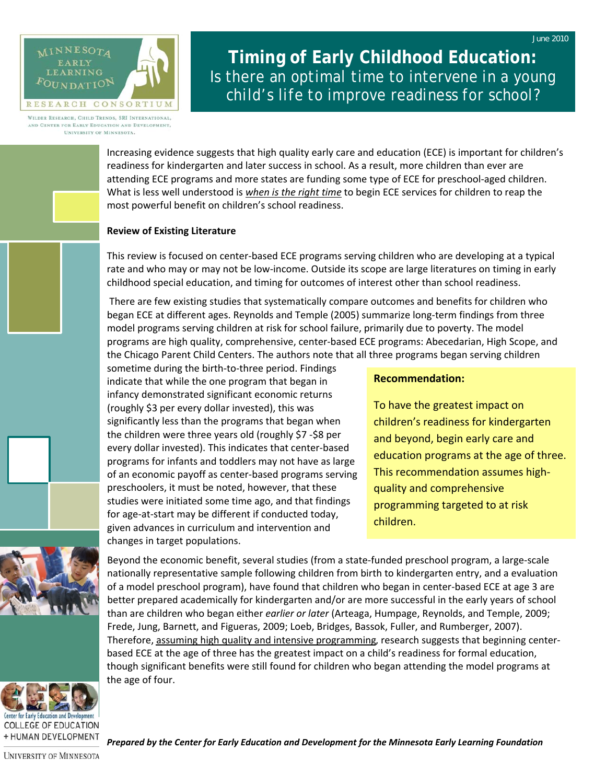

**Timing of Early Childhood Education:**  *Is there an optimal time to intervene in a young child's life to improve readiness for school?* 

WILDER RESEARCH, CHILD TRENDS, SRI INTERNATIONAL, AND CENTER FOR EARLY EDUCATION AND DEVELOPMENT, UNIVERSITY OF MINNESOTA.

> Increasing evidence suggests that high quality early care and education (ECE) is important for children's readiness for kindergarten and later success in school. As a result, more children than ever are attending ECE programs and more states are funding some type of ECE for preschool‐aged children. What is less well understood is *when is the right time* to begin ECE services for children to reap the most powerful benefit on children's school readiness.

## **Review of Existing Literature**

This review is focused on center‐based ECE programs serving children who are developing at a typical rate and who may or may not be low‐income. Outside its scope are large literatures on timing in early childhood special education, and timing for outcomes of interest other than school readiness.

There are few existing studies that systematically compare outcomes and benefits for children who began ECE at different ages. Reynolds and Temple (2005) summarize long-term findings from three model programs serving children at risk for school failure, primarily due to poverty. The model programs are high quality, comprehensive, center‐based ECE programs: Abecedarian, High Scope, and the Chicago Parent Child Centers. The authors note that all three programs began serving children

sometime during the birth‐to‐three period. Findings indicate that while the one program that began in infancy demonstrated significant economic returns (roughly \$3 per every dollar invested), this was significantly less than the programs that began when the children were three years old (roughly \$7 ‐\$8 per every dollar invested). This indicates that center‐based programs for infants and toddlers may not have as large of an economic payoff as center‐based programs serving preschoolers, it must be noted, however, that these studies were initiated some time ago, and that findings for age‐at‐start may be different if conducted today, given advances in curriculum and intervention and changes in target populations.

# **Recommendation:**

To have the greatest impact on children's readiness for kindergarten and beyond, begin early care and education programs at the age of three. This recommendation assumes high‐ quality and comprehensive programming targeted to at risk children.

Beyond the economic benefit, several studies (from a state-funded preschool program, a large-scale nationally representative sample following children from birth to kindergarten entry, and a evaluation of a model preschool program), have found that children who began in center‐based ECE at age 3 are better prepared academically for kindergarten and/or are more successful in the early years of school than are children who began either *earlier or later* (Arteaga, Humpage, Reynolds, and Temple, 2009; Frede, Jung, Barnett, and Figueras, 2009; Loeb, Bridges, Bassok, Fuller, and Rumberger, 2007). Therefore, assuming high quality and intensive programming, research suggests that beginning center‐ based ECE at the age of three has the greatest impact on a child's readiness for formal education, though significant benefits were still found for children who began attending the model programs at the age of four.